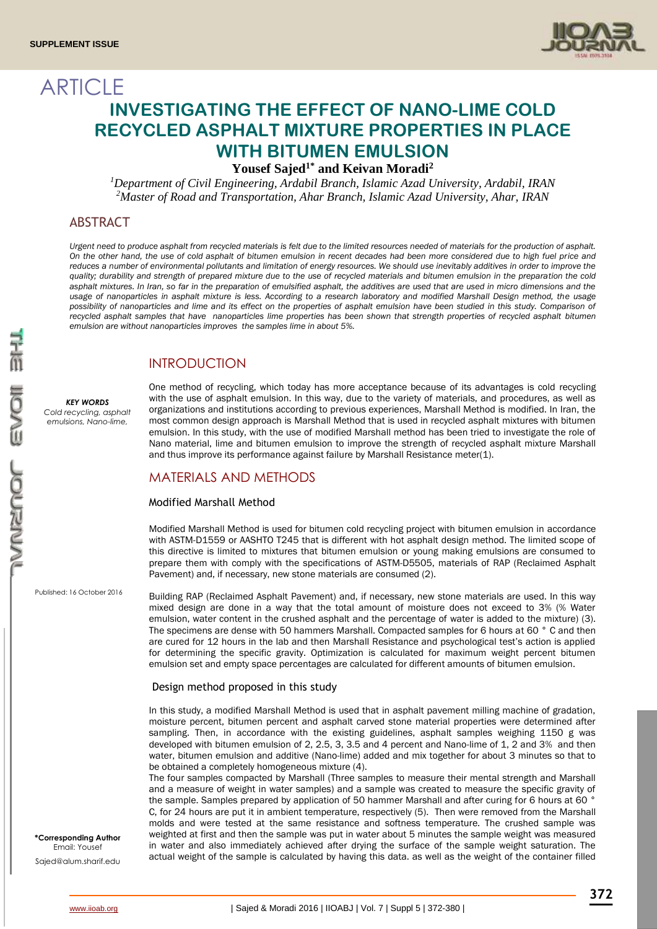

# **ARTICLE INVESTIGATING THE EFFECT OF NANO-LIME COLD RECYCLED ASPHALT MIXTURE PROPERTIES IN PLACE WITH BITUMEN EMULSION**

**Yousef Sajed1\* and Keivan Moradi<sup>2</sup>**

*<sup>1</sup>Department of Civil Engineering, Ardabil Branch, Islamic Azad University, Ardabil, IRAN <sup>2</sup>Master of Road and Transportation, Ahar Branch, Islamic Azad University, Ahar, IRAN*

### ABSTRACT

*Urgent need to produce asphalt from recycled materials is felt due to the limited resources needed of materials for the production of asphalt. On the other hand, the use of cold asphalt of bitumen emulsion in recent decades had been more considered due to high fuel price and*  reduces a number of environmental pollutants and limitation of energy resources. We should use inevitably additives in order to improve the *quality; durability and strength of prepared mixture due to the use of recycled materials and bitumen emulsion in the preparation the cold asphalt mixtures. In Iran, so far in the preparation of emulsified asphalt, the additives are used that are used in micro dimensions and the usage of nanoparticles in asphalt mixture is less. According to a research laboratory and modified Marshall Design method, the usage possibility of nanoparticles and lime and its effect on the properties of asphalt emulsion have been studied in this study. Comparison of recycled asphalt samples that have nanoparticles lime properties has been shown that strength properties of recycled asphalt bitumen emulsion are without nanoparticles improves the samples lime in about 5%.*

### INTRODUCTION

#### *KEY WORDS*

*Cold recycling, asphalt emulsions, Nano-lime,* 

One method of recycling, which today has more acceptance because of its advantages is cold recycling with the use of asphalt emulsion. In this way, due to the variety of materials, and procedures, as well as organizations and institutions according to previous experiences, Marshall Method is modified. In Iran, the most common design approach is Marshall Method that is used in recycled asphalt mixtures with bitumen emulsion. In this study, with the use of modified Marshall method has been tried to investigate the role of Nano material, lime and bitumen emulsion to improve the strength of recycled asphalt mixture Marshall and thus improve its performance against failure by Marshall Resistance meter(1).

### MATERIALS AND METHODS

### Modified Marshall Method

Modified Marshall Method is used for bitumen cold recycling project with bitumen emulsion in accordance with ASTM-D1559 or AASHTO T245 that is different with hot asphalt design method. The limited scope of this directive is limited to mixtures that bitumen emulsion or young making emulsions are consumed to prepare them with comply with the specifications of ASTM-D5505, materials of RAP (Reclaimed Asphalt Pavement) and, if necessary, new stone materials are consumed (2).

Published: 16 October 2016

Building RAP (Reclaimed Asphalt Pavement) and, if necessary, new stone materials are used. In this way mixed design are done in a way that the total amount of moisture does not exceed to 3% (% Water emulsion, water content in the crushed asphalt and the percentage of water is added to the mixture) (3). The specimens are dense with 50 hammers Marshall. Compacted samples for 6 hours at 60 ° C and then are cured for 12 hours in the lab and then Marshall Resistance and psychological test's action is applied for determining the specific gravity. Optimization is calculated for maximum weight percent bitumen emulsion set and empty space percentages are calculated for different amounts of bitumen emulsion.

#### Design method proposed in this study

In this study, a modified Marshall Method is used that in asphalt pavement milling machine of gradation, moisture percent, bitumen percent and asphalt carved stone material properties were determined after sampling. Then, in accordance with the existing guidelines, asphalt samples weighing 1150 g was developed with bitumen emulsion of 2, 2.5, 3, 3.5 and 4 percent and Nano-lime of 1, 2 and 3% and then water, bitumen emulsion and additive (Nano-lime) added and mix together for about 3 minutes so that to be obtained a completely homogeneous mixture (4).

The four samples compacted by Marshall (Three samples to measure their mental strength and Marshall and a measure of weight in water samples) and a sample was created to measure the specific gravity of the sample. Samples prepared by application of 50 hammer Marshall and after curing for 6 hours at 60 ° C, for 24 hours are put it in ambient temperature, respectively (5). Then were removed from the Marshall molds and were tested at the same resistance and softness temperature. The crushed sample was weighted at first and then the sample was put in water about 5 minutes the sample weight was measured in water and also immediately achieved after drying the surface of the sample weight saturation. The actual weight of the sample is calculated by having this data. as well as the weight of the container filled

**\*Corresponding Author** Email: Yousef Sajed@alum.sharif.edu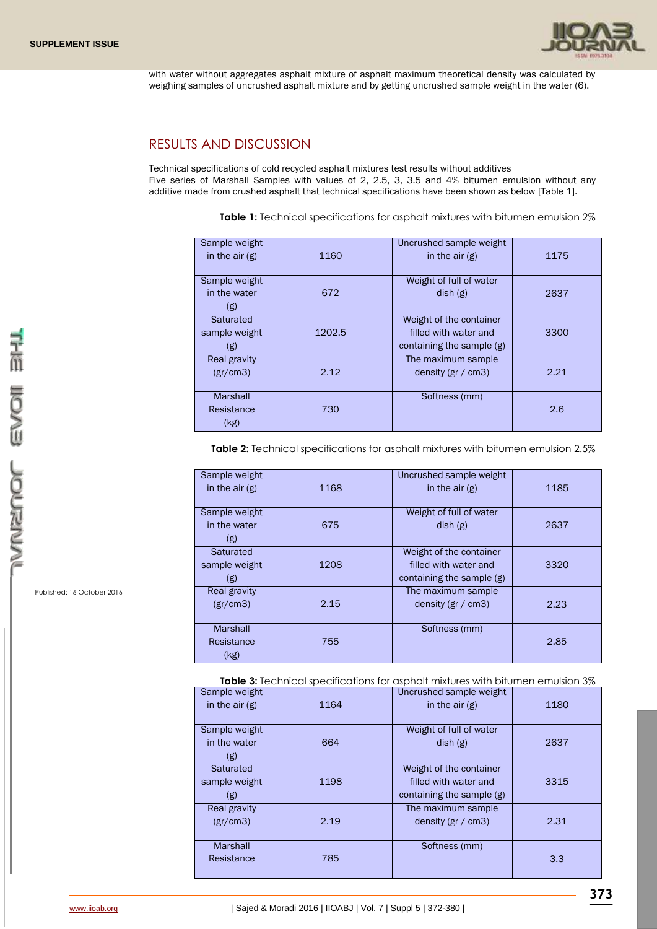

with water without aggregates asphalt mixture of asphalt maximum theoretical density was calculated by weighing samples of uncrushed asphalt mixture and by getting uncrushed sample weight in the water (6).

### RESULTS AND DISCUSSION

Technical specifications of cold recycled asphalt mixtures test results without additives Five series of Marshall Samples with values of 2, 2.5, 3, 3.5 and 4% bitumen emulsion without any additive made from crushed asphalt that technical specifications have been shown as below [Table 1].

**Table 1:** Technical specifications for asphalt mixtures with bitumen emulsion 2%

| Sample weight   |        | Uncrushed sample weight   |      |
|-----------------|--------|---------------------------|------|
| in the $air(g)$ | 1160   | in the $air(g)$           | 1175 |
|                 |        |                           |      |
| Sample weight   |        | Weight of full of water   |      |
| in the water    | 672    | dish(g)                   | 2637 |
| (g)             |        |                           |      |
| Saturated       |        | Weight of the container   |      |
| sample weight   | 1202.5 | filled with water and     | 3300 |
| (g)             |        | containing the sample (g) |      |
| Real gravity    |        | The maximum sample        |      |
| (gr/cm3)        | 2.12   | density (gr $/$ cm3)      | 2.21 |
|                 |        |                           |      |
| Marshall        |        | Softness (mm)             |      |
| Resistance      | 730    |                           | 2.6  |
| (kg)            |        |                           |      |
|                 |        |                           |      |

**Table 2:** Technical specifications for asphalt mixtures with bitumen emulsion 2.5%

| Sample weight   |      | Uncrushed sample weight   |      |
|-----------------|------|---------------------------|------|
| in the $air(g)$ | 1168 | in the $air(g)$           | 1185 |
|                 |      |                           |      |
| Sample weight   |      | Weight of full of water   |      |
| in the water    | 675  | dish(g)                   | 2637 |
| (g)             |      |                           |      |
| Saturated       |      | Weight of the container   |      |
| sample weight   | 1208 | filled with water and     | 3320 |
| (g)             |      | containing the sample (g) |      |
| Real gravity    |      | The maximum sample        |      |
| (gr/cm3)        | 2.15 | density ( $gr / cm3$ )    | 2.23 |
|                 |      |                           |      |
| Marshall        |      | Softness (mm)             |      |
| Resistance      | 755  |                           | 2.85 |
| (kg)            |      |                           |      |

 **Table 3:** Technical specifications for asphalt mixtures with bitumen emulsion 3%

| Sample weight<br>in the $air(g)$     | 1164 | Uncrushed sample weight<br>in the $air(g)$                                    | 1180 |
|--------------------------------------|------|-------------------------------------------------------------------------------|------|
| Sample weight<br>in the water<br>(g) | 664  | Weight of full of water<br>dish(g)                                            | 2637 |
| Saturated<br>sample weight<br>(g)    | 1198 | Weight of the container<br>filled with water and<br>containing the sample (g) | 3315 |
| Real gravity<br>(gr/cm3)             | 2.19 | The maximum sample<br>density (gr $/$ cm3)                                    | 2.31 |
| Marshall<br>Resistance               | 785  | Softness (mm)                                                                 | 3.3  |

Published: 16 October 2016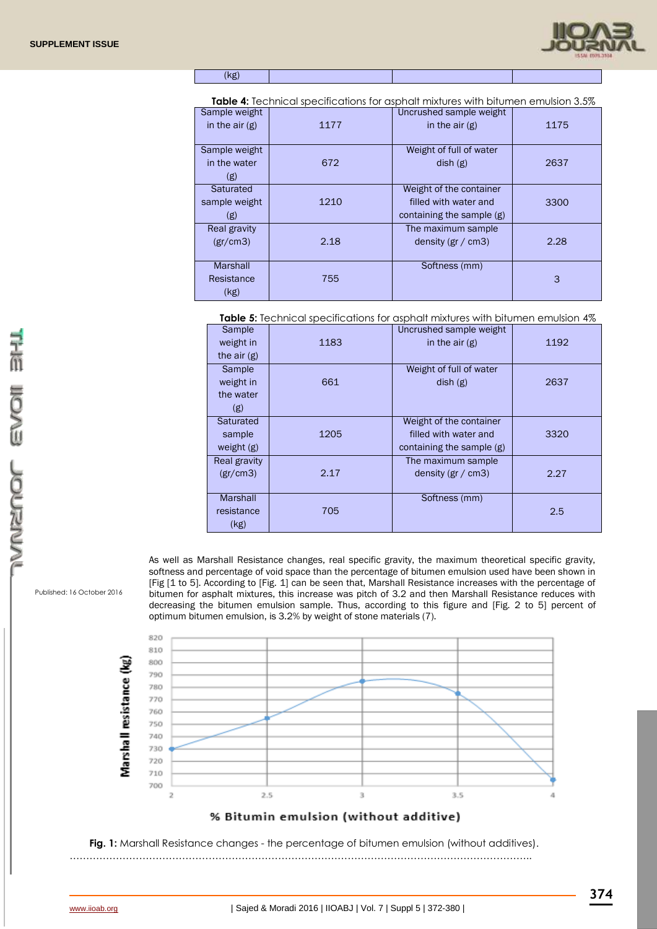

(kg)

**Table 4:** Technical specifications for asphalt mixtures with bitumen emulsion 3.5%

| Sample weight<br>in the $air(g)$ | 1177 | Uncrushed sample weight<br>in the $air(g)$ | 1175 |  |
|----------------------------------|------|--------------------------------------------|------|--|
| Sample weight<br>in the water    | 672  | Weight of full of water<br>dist(g)         | 2637 |  |
| (g)                              |      |                                            |      |  |
| Saturated                        |      | Weight of the container                    |      |  |
| sample weight                    | 1210 | filled with water and                      | 3300 |  |
| (g)                              |      | containing the sample $(g)$                |      |  |
| Real gravity                     |      | The maximum sample                         |      |  |
| (gr/cm3)                         | 2.18 | density (gr $/$ cm3)                       | 2.28 |  |
|                                  |      |                                            |      |  |
| Marshall                         |      | Softness (mm)                              |      |  |
| Resistance                       | 755  |                                            | 3    |  |
| (kg)                             |      |                                            |      |  |

**Table 5:** Technical specifications for asphalt mixtures with bitumen emulsion 4%

| Sample<br>weight in<br>the $air(g)$     | 1183 | Uncrushed sample weight<br>in the $air(g)$                                    | 1192 |
|-----------------------------------------|------|-------------------------------------------------------------------------------|------|
| Sample<br>weight in<br>the water<br>(g) | 661  | Weight of full of water<br>dish(g)                                            | 2637 |
| Saturated<br>sample<br>weight $(g)$     | 1205 | Weight of the container<br>filled with water and<br>containing the sample (g) | 3320 |
| Real gravity<br>(gr/cm3)                | 2.17 | The maximum sample<br>density ( $gr / cm3$ )                                  | 2.27 |
| Marshall<br>resistance<br>(kg)          | 705  | Softness (mm)                                                                 | 2.5  |

As well as Marshall Resistance changes, real specific gravity, the maximum theoretical specific gravity, softness and percentage of void space than the percentage of bitumen emulsion used have been shown in [Fig [1 to 5]. According to [Fig. 1] can be seen that, Marshall Resistance increases with the percentage of bitumen for asphalt mixtures, this increase was pitch of 3.2 and then Marshall Resistance reduces with decreasing the bitumen emulsion sample. Thus, according to this figure and [Fig. 2 to 5] percent of optimum bitumen emulsion, is 3.2% by weight of stone materials (7).



**Fig. 1:** Marshall Resistance changes - the percentage of bitumen emulsion (without additives).

Published: 16 October 2016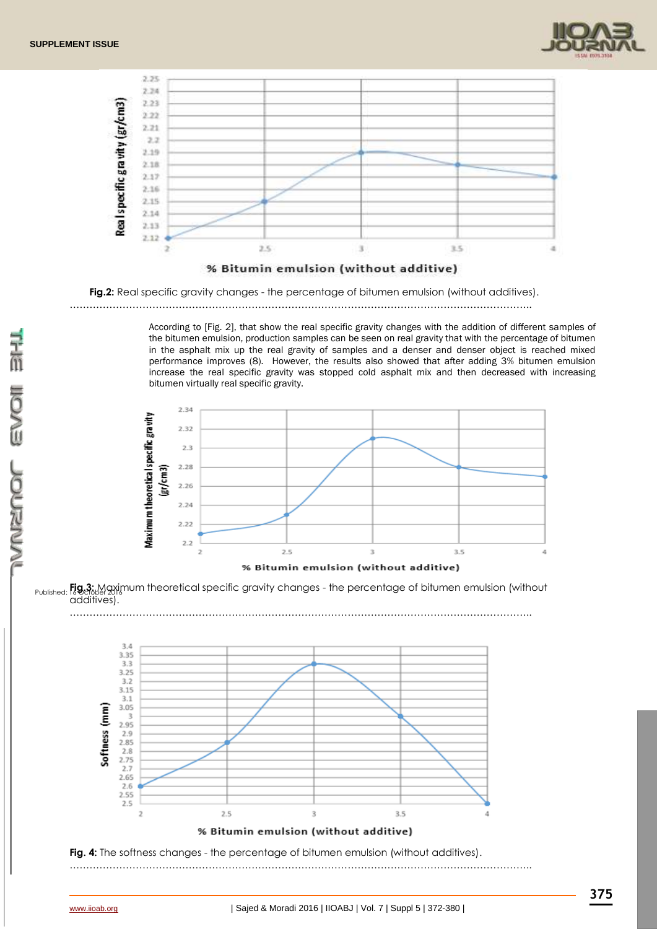



#### % Bitumin emulsion (without additive)

**Fig.2:** Real specific gravity changes - the percentage of bitumen emulsion (without additives).

…………………………………………………………………………………………………………………………..

According to [Fig. 2], that show the real specific gravity changes with the addition of different samples of the bitumen emulsion, production samples can be seen on real gravity that with the percentage of bitumen in the asphalt mix up the real gravity of samples and a denser and denser object is reached mixed performance improves (8). However, the results also showed that after adding 3% bitumen emulsion increase the real specific gravity was stopped cold asphalt mix and then decreased with increasing bitumen virtually real specific gravity.

…………………………………………………………………………………………………………………………..



<sub>Published:</sub> **Fig.3:** Maximum theoretical specific gravity changes - the percentage of bitumen emulsion (without additives).

 $3.4$ 3.35  $3.3$  $3.25$  $3.2$  $3.15$  $21$ Softness (mm)  $3.05$  $\overline{3}$ 2.95  $2.9$ 2.85  $2.8$ <br> $2.75$  $\frac{1}{2.7}$ 2.65 2.6  $2.55$  $2.5$  $\overline{2}$  $3.5$  $2.5$  $\overline{3}$ A % Bitumin emulsion (without additive)

**Fig. 4:** The softness changes - the percentage of bitumen emulsion (without additives).

…………………………………………………………………………………………………………………………..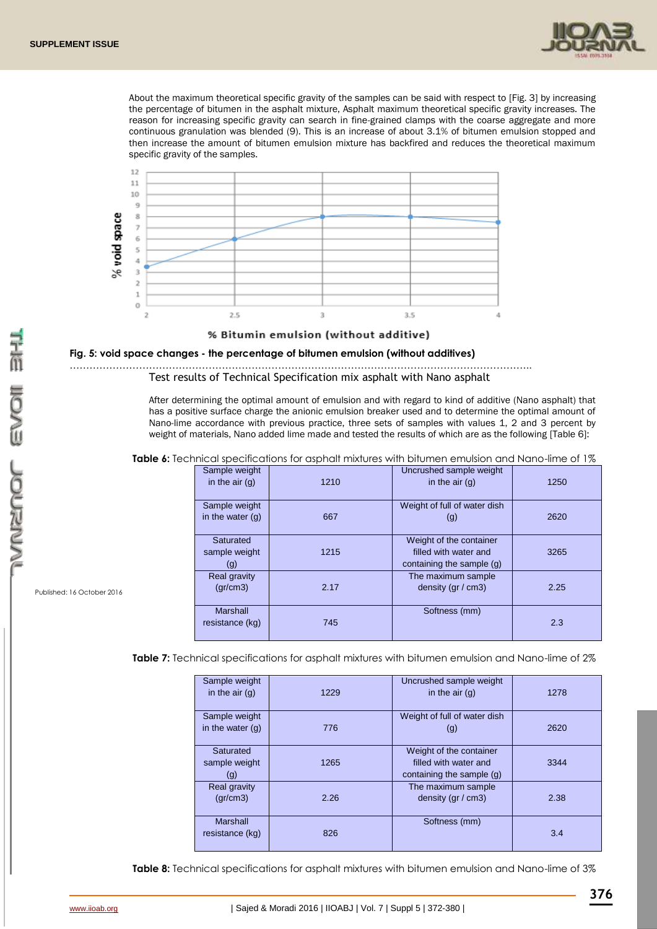

About the maximum theoretical specific gravity of the samples can be said with respect to [Fig. 3] by increasing the percentage of bitumen in the asphalt mixture, Asphalt maximum theoretical specific gravity increases. The reason for increasing specific gravity can search in fine-grained clamps with the coarse aggregate and more continuous granulation was blended (9). This is an increase of about 3.1% of bitumen emulsion stopped and then increase the amount of bitumen emulsion mixture has backfired and reduces the theoretical maximum specific gravity of the samples.



% Bitumin emulsion (without additive)

#### **Fig. 5: void space changes - the percentage of bitumen emulsion (without additives)**

………………………………………………………………………………………………………………………….. Test results of Technical Specification mix asphalt with Nano asphalt

> After determining the optimal amount of emulsion and with regard to kind of additive (Nano asphalt) that has a positive surface charge the anionic emulsion breaker used and to determine the optimal amount of Nano-lime accordance with previous practice, three sets of samples with values 1, 2 and 3 percent by weight of materials, Nano added lime made and tested the results of which are as the following [Table 6]:

**Table 6:** Technical specifications for asphalt mixtures with bitumen emulsion and Nano-lime of 1%

| Sample weight<br>in the $air(g)$    | 1210 | Uncrushed sample weight<br>in the $air(g)$                                    | 1250 |
|-------------------------------------|------|-------------------------------------------------------------------------------|------|
| Sample weight<br>in the water $(q)$ | 667  | Weight of full of water dish<br>(g)                                           | 2620 |
| Saturated<br>sample weight<br>(g)   | 1215 | Weight of the container<br>filled with water and<br>containing the sample (g) | 3265 |
| Real gravity<br>gr/cm3)             | 2.17 | The maximum sample<br>density ( $gr / cm3$ )                                  | 2.25 |
| Marshall<br>resistance (kg)         | 745  | Softness (mm)                                                                 | 2.3  |

**Table 7:** Technical specifications for asphalt mixtures with bitumen emulsion and Nano-lime of 2%

Ι

| Sample weight<br>in the $air(q)$    | 1229 | Uncrushed sample weight<br>in the $air(q)$                                    | 1278 |
|-------------------------------------|------|-------------------------------------------------------------------------------|------|
| Sample weight<br>in the water $(q)$ | 776  | Weight of full of water dish<br>(g)                                           | 2620 |
| Saturated<br>sample weight<br>(g)   | 1265 | Weight of the container<br>filled with water and<br>containing the sample (g) | 3344 |
| Real gravity<br>gr/cm3)             | 2.26 | The maximum sample<br>density ( $gr / cm3$ )                                  | 2.38 |
| Marshall<br>resistance (kg)         | 826  | Softness (mm)                                                                 | 3.4  |

**Table 8:** Technical specifications for asphalt mixtures with bitumen emulsion and Nano-lime of 3%

Published: 16 October 2016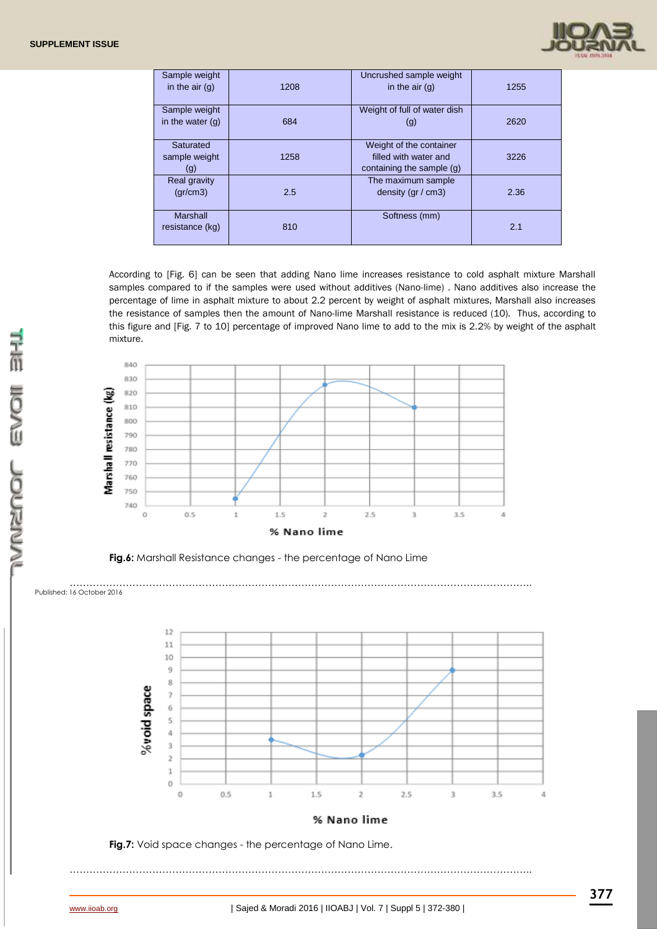

| Sample weight<br>in the $air(g)$    | 1208 | Uncrushed sample weight<br>in the $air(q)$                                    | 1255 |
|-------------------------------------|------|-------------------------------------------------------------------------------|------|
| Sample weight<br>in the water $(q)$ | 684  | Weight of full of water dish<br>(g)                                           | 2620 |
| Saturated<br>sample weight<br>(g)   | 1258 | Weight of the container<br>filled with water and<br>containing the sample (g) | 3226 |
| Real gravity<br>(qr/cm3)            | 2.5  | The maximum sample<br>density ( $gr / cm3$ )                                  | 2.36 |
| Marshall<br>resistance (kg)         | 810  | Softness (mm)                                                                 | 2.1  |

According to [Fig. 6] can be seen that adding Nano lime increases resistance to cold asphalt mixture Marshall samples compared to if the samples were used without additives (Nano-lime) . Nano additives also increase the percentage of lime in asphalt mixture to about 2.2 percent by weight of asphalt mixtures, Marshall also increases the resistance of samples then the amount of Nano-lime Marshall resistance is reduced (10). Thus, according to this figure and [Fig. 7 to 10] percentage of improved Nano lime to add to the mix is 2.2% by weight of the asphalt mixture.



**Fig.6:** Marshall Resistance changes - the percentage of Nano Lime

..............<br>Published: 16 October 2016 …………………………………………………………………………………………………………………………..





…………………………………………………………………………………………………………………………..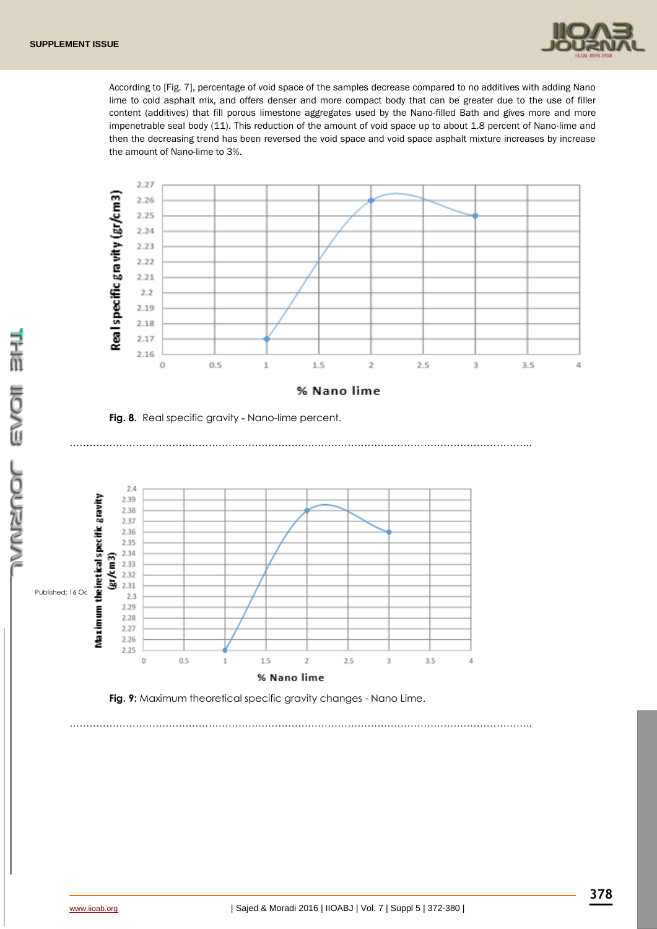

According to [Fig. 7], percentage of void space of the samples decrease compared to no additives with adding Nano lime to cold asphalt mix, and offers denser and more compact body that can be greater due to the use of filler content (additives) that fill porous limestone aggregates used by the Nano-filled Bath and gives more and more impenetrable seal body (11). This reduction of the amount of void space up to about 1.8 percent of Nano-lime and then the decreasing trend has been reversed the void space and void space asphalt mixture increases by increase the amount of Nano-lime to 3%.



…………………………………………………………………………………………………………………………..

**Fig. 8.** Real specific gravity **-** Nano-lime percent.





…………………………………………………………………………………………………………………………..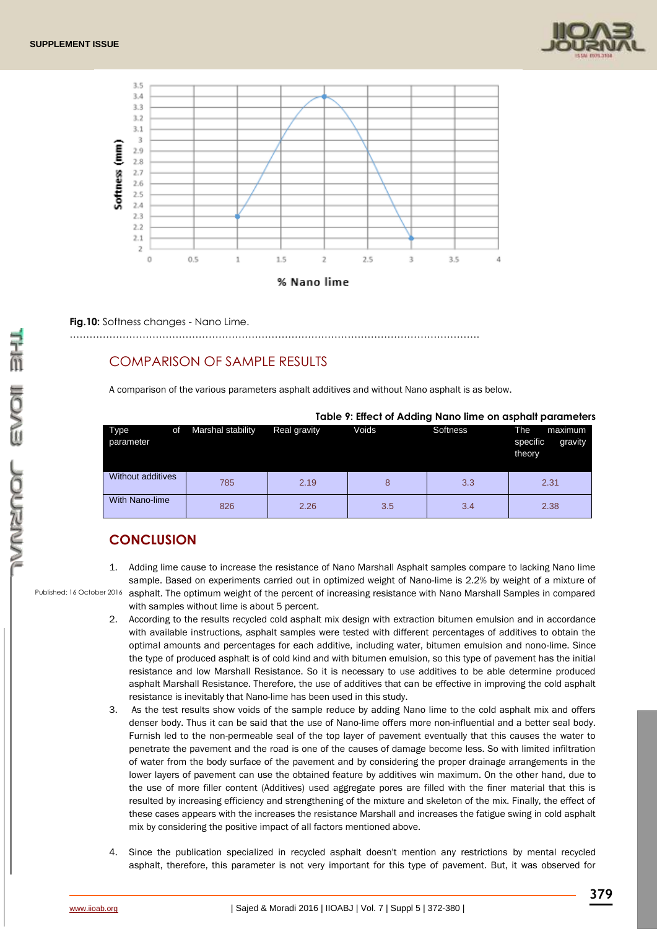



**Fig.10:** Softness changes - Nano Lime.

#### …………………………………………………………………………………………………………….

### COMPARISON OF SAMPLE RESULTS

A comparison of the various parameters asphalt additives and without Nano asphalt is as below.

|                   |    |                   |              |       |          | Table 7. Ellect of Adding Nano lime on asphalt parameters |
|-------------------|----|-------------------|--------------|-------|----------|-----------------------------------------------------------|
| Type<br>parameter | οf | Marshal stability | Real gravity | Voids | Softness | The<br>maximum<br>specific<br>gravity<br>theory           |
| Without additives |    | 785               | 2.19         |       | 3.3      | 2.31                                                      |
| With Nano-lime    |    | 826               | 2.26         | 3.5   | 3.4      | 2.38                                                      |

#### **Table 9: Effect of Adding Nano lime on asphalt parameters**

## **CONCLUSION**

- Published: 16 October 2016 asphalt. The optimum weight of the percent of increasing resistance with Nano Marshall Samples in compared 1. Adding lime cause to increase the resistance of Nano Marshall Asphalt samples compare to lacking Nano lime sample. Based on experiments carried out in optimized weight of Nano-lime is 2.2% by weight of a mixture of with samples without lime is about 5 percent.
	- 2. According to the results recycled cold asphalt mix design with extraction bitumen emulsion and in accordance with available instructions, asphalt samples were tested with different percentages of additives to obtain the optimal amounts and percentages for each additive, including water, bitumen emulsion and nono-lime. Since the type of produced asphalt is of cold kind and with bitumen emulsion, so this type of pavement has the initial resistance and low Marshall Resistance. So it is necessary to use additives to be able determine produced asphalt Marshall Resistance. Therefore, the use of additives that can be effective in improving the cold asphalt resistance is inevitably that Nano-lime has been used in this study.
	- 3. As the test results show voids of the sample reduce by adding Nano lime to the cold asphalt mix and offers denser body. Thus it can be said that the use of Nano-lime offers more non-influential and a better seal body. Furnish led to the non-permeable seal of the top layer of pavement eventually that this causes the water to penetrate the pavement and the road is one of the causes of damage become less. So with limited infiltration of water from the body surface of the pavement and by considering the proper drainage arrangements in the lower layers of pavement can use the obtained feature by additives win maximum. On the other hand, due to the use of more filler content (Additives) used aggregate pores are filled with the finer material that this is resulted by increasing efficiency and strengthening of the mixture and skeleton of the mix. Finally, the effect of these cases appears with the increases the resistance Marshall and increases the fatigue swing in cold asphalt mix by considering the positive impact of all factors mentioned above.
	- 4. Since the publication specialized in recycled asphalt doesn't mention any restrictions by mental recycled asphalt, therefore, this parameter is not very important for this type of pavement. But, it was observed for